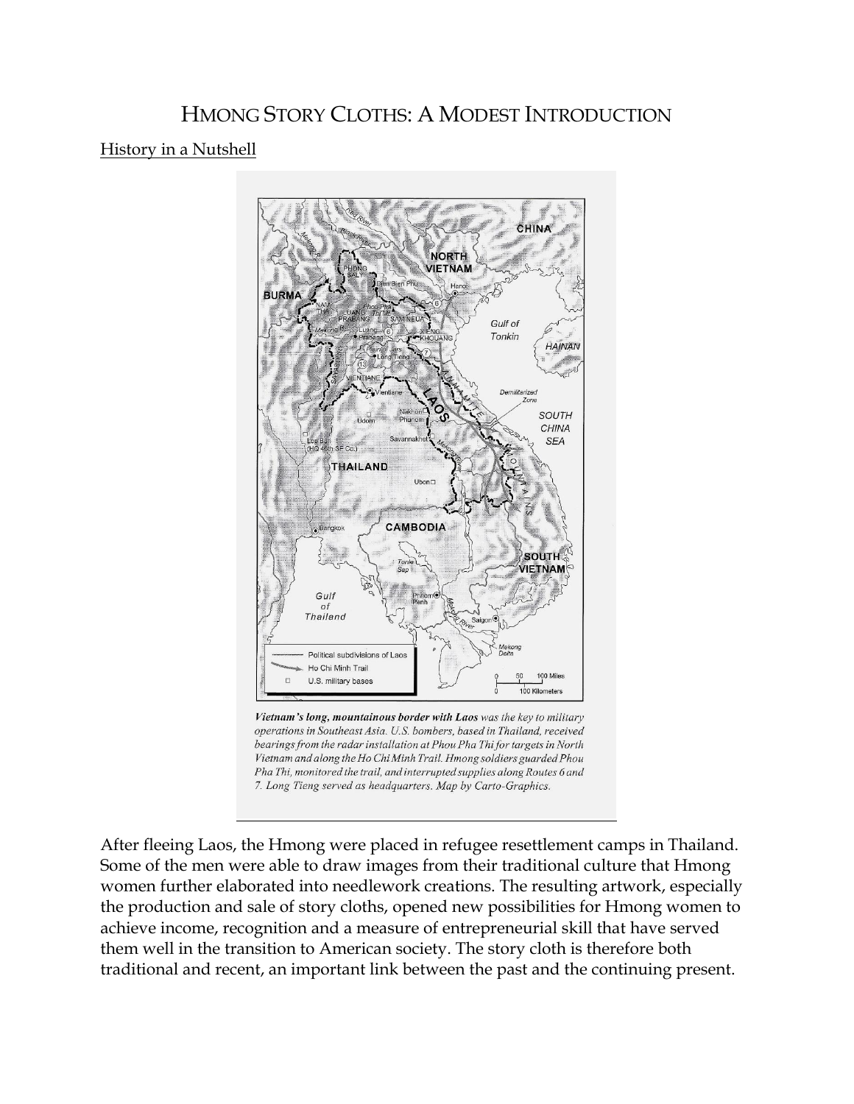## HMONG STORY CLOTHS: A MODEST INTRODUCTION

## History in a Nutshell



Vietnam's long, mountainous border with Laos was the key to military operations in Southeast Asia. U.S. bombers, based in Thailand, received bearings from the radar installation at Phou Pha Thi for targets in North Vietnam and along the Ho Chi Minh Trail. Hmong soldiers guarded Phou Pha Thi, monitored the trail, and interrupted supplies along Routes 6 and 7. Long Tieng served as headquarters. Map by Carto-Graphics.

After fleeing Laos, the Hmong were placed in refugee resettlement camps in Thailand. Some of the men were able to draw images from their traditional culture that Hmong women further elaborated into needlework creations. The resulting artwork, especially the production and sale of story cloths, opened new possibilities for Hmong women to achieve income, recognition and a measure of entrepreneurial skill that have served them well in the transition to American society. The story cloth is therefore both traditional and recent, an important link between the past and the continuing present.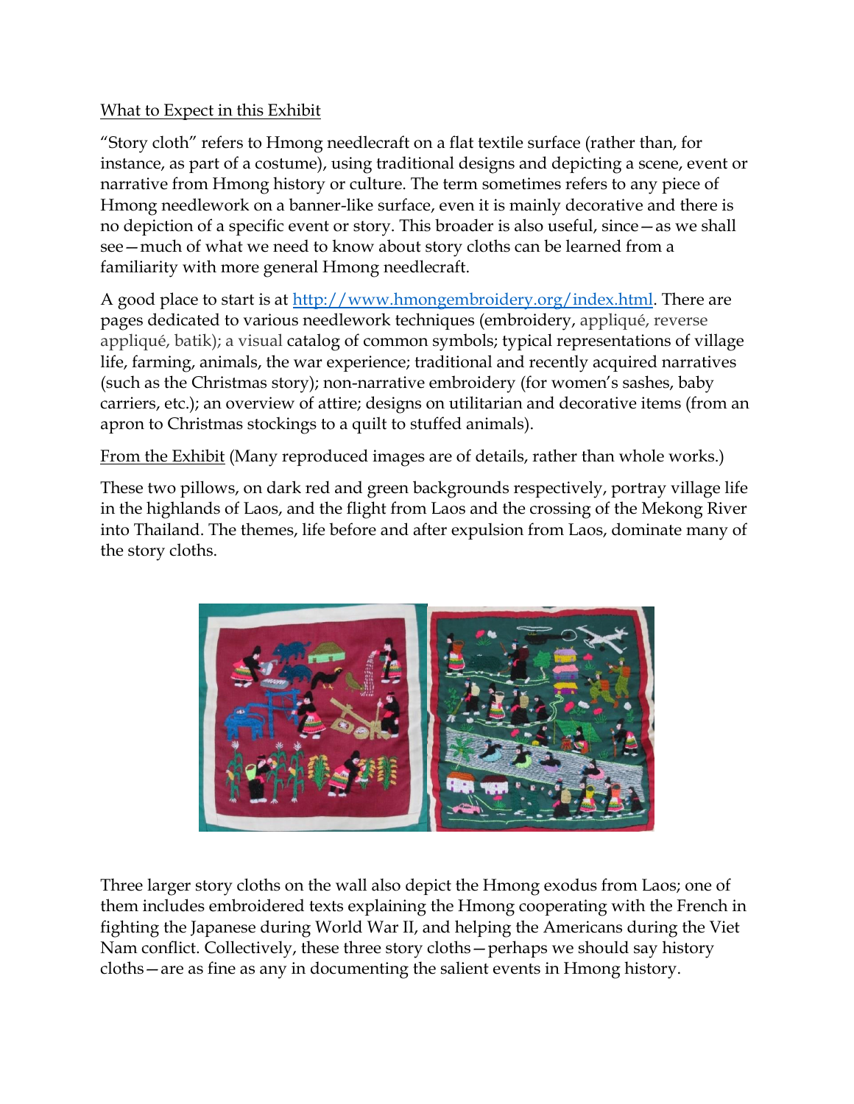## What to Expect in this Exhibit

"Story cloth" refers to Hmong needlecraft on a flat textile surface (rather than, for instance, as part of a costume), using traditional designs and depicting a scene, event or narrative from Hmong history or culture. The term sometimes refers to any piece of Hmong needlework on a banner-like surface, even it is mainly decorative and there is no depiction of a specific event or story. This broader is also useful, since—as we shall see—much of what we need to know about story cloths can be learned from a familiarity with more general Hmong needlecraft.

A good place to start is at [http://www.hmongembroidery.org/index.html.](http://www.hmongembroidery.org/index.html) There are pages dedicated to various needlework techniques (embroidery, appliqué, reverse appliqué, batik); a visual catalog of common symbols; typical representations of village life, farming, animals, the war experience; traditional and recently acquired narratives (such as the Christmas story); non-narrative embroidery (for women's sashes, baby carriers, etc.); an overview of attire; designs on utilitarian and decorative items (from an apron to Christmas stockings to a quilt to stuffed animals).

From the Exhibit (Many reproduced images are of details, rather than whole works.)

These two pillows, on dark red and green backgrounds respectively, portray village life in the highlands of Laos, and the flight from Laos and the crossing of the Mekong River into Thailand. The themes, life before and after expulsion from Laos, dominate many of the story cloths.



Three larger story cloths on the wall also depict the Hmong exodus from Laos; one of them includes embroidered texts explaining the Hmong cooperating with the French in fighting the Japanese during World War II, and helping the Americans during the Viet Nam conflict. Collectively, these three story cloths—perhaps we should say history cloths—are as fine as any in documenting the salient events in Hmong history.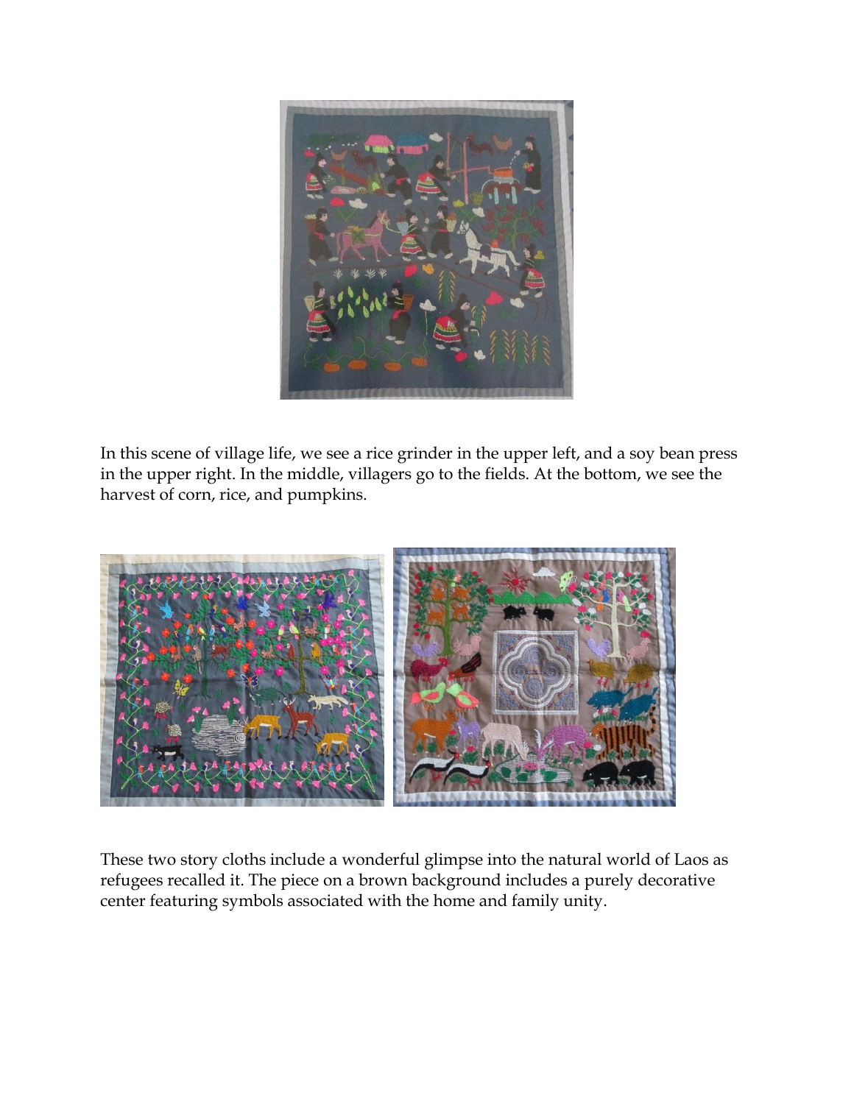

In this scene of village life, we see a rice grinder in the upper left, and a soy bean press in the upper right. In the middle, villagers go to the fields. At the bottom, we see the harvest of corn, rice, and pumpkins.



These two story cloths include a wonderful glimpse into the natural world of Laos as refugees recalled it. The piece on a brown background includes a purely decorative center featuring symbols associated with the home and family unity.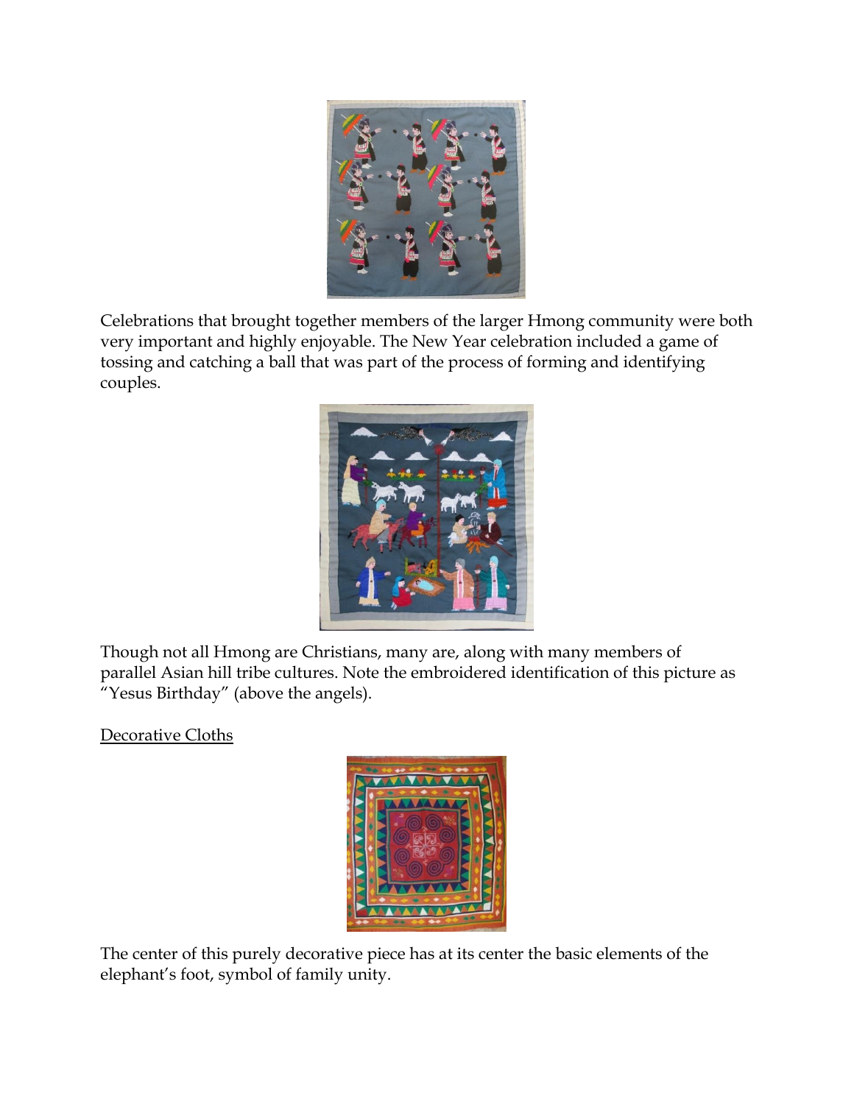

Celebrations that brought together members of the larger Hmong community were both very important and highly enjoyable. The New Year celebration included a game of tossing and catching a ball that was part of the process of forming and identifying couples.



Though not all Hmong are Christians, many are, along with many members of parallel Asian hill tribe cultures. Note the embroidered identification of this picture as "Yesus Birthday" (above the angels).

Decorative Cloths



The center of this purely decorative piece has at its center the basic elements of the elephant's foot, symbol of family unity.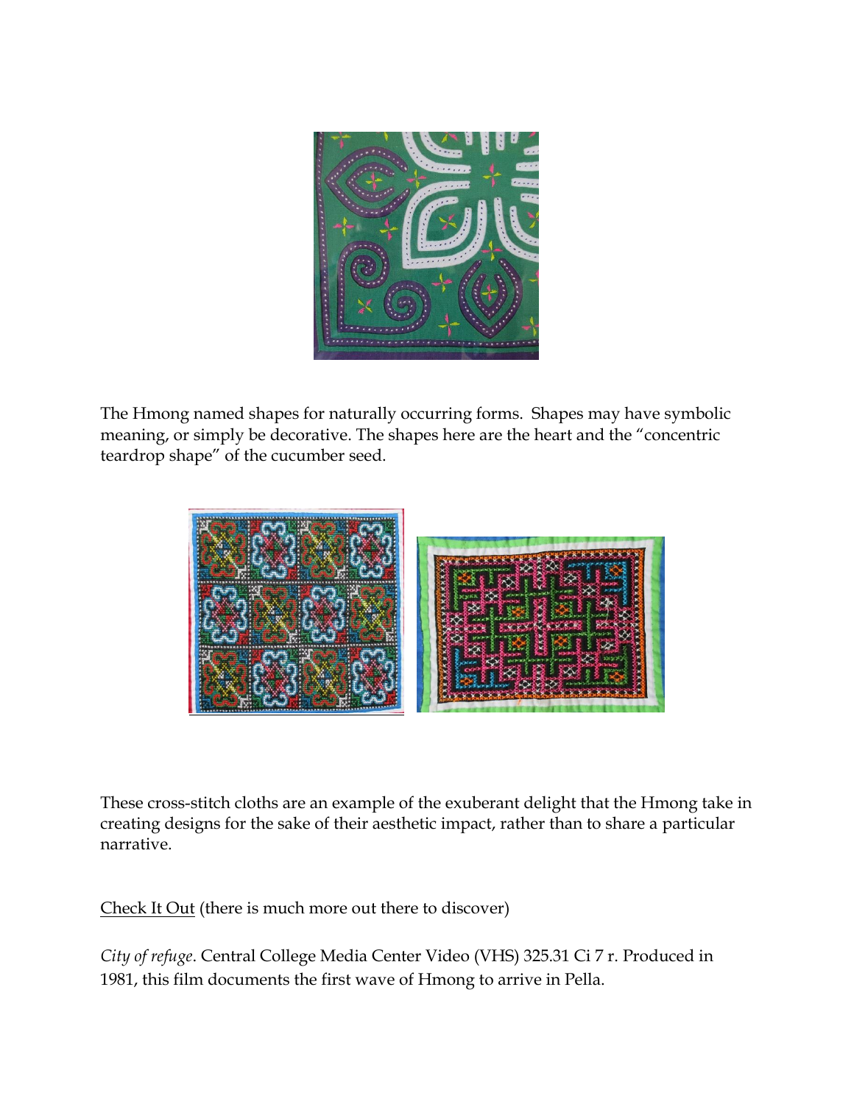

The Hmong named shapes for naturally occurring forms. Shapes may have symbolic meaning, or simply be decorative. The shapes here are the heart and the "concentric teardrop shape" of the cucumber seed.



These cross-stitch cloths are an example of the exuberant delight that the Hmong take in creating designs for the sake of their aesthetic impact, rather than to share a particular narrative.

Check It Out (there is much more out there to discover)

*City of refuge*. Central College Media Center Video (VHS) 325.31 Ci 7 r. Produced in 1981, this film documents the first wave of Hmong to arrive in Pella.